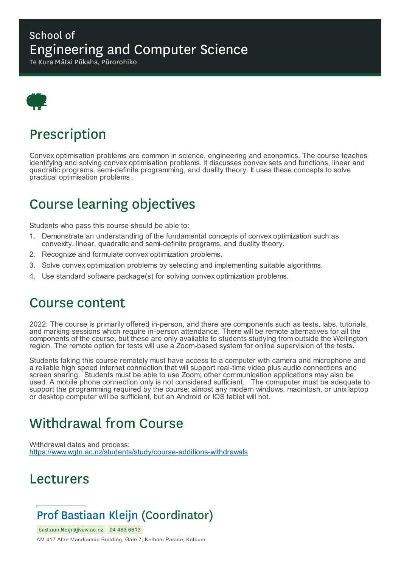### School of Engineering and Computer Science

Te Kura Mātai Pūkaha, Pūrorohiko



# Prescription

Convex optimisation problems are common in science, engineering and economics. The course teaches identifying and solving convex optimisation problems. It discusses convex sets and functions, linear and quadratic programs, semi-definite programming, and duality theory. It uses these concepts to solve practical optimisation problems .

# Course learning objectives

Students who pass this course should be able to:

- 1. Demonstrate an understanding of the fundamental concepts of convex optimization such as convexity, linear, quadratic and semi-definite programs, and duality theory.
- 2. Recognize and formulate convex optimization problems.
- 3. Solve convex optimization problems by selecting and implementing suitable algorithms.
- 4. Use standard software package(s) for solving convex optimization problems.

## Course content

2022: The course is primarily offered in-person, and there are components such as tests, labs, tutorials, and marking sessions which require in-person attendance. There will be remote alternatives for all the components of the course, but these are only available to students studying from outside the Wellington region. The remote option for tests will use a Zoom-based system for online supervision of the tests.

Students taking this course remotely must have access to a computer with camera and microphone and a reliable high speed internet connection that will support real-time video plus audio connections and screen sharing. Students must be able to use Zoom; other communication applications may also be used. A mobile phone connection only is not considered sufficient. The comuputer must be adequate to support the programming required by the course: almost any modern windows, macintosh, or unix laptop or desktop computer will be sufficient, but an Android or IOS tablet will not.

# Withdrawal from Course

Withdrawal dates and process: https://www.wgtn.ac.nz/students/study/course-additions-withdrawals

## Lecturers

## Prof Bastiaan Kleijn (Coordinator)

bastiaan.kleijn@vuw.ac.nz 04 463 6613

AM 417 Alan Macdiarmid Building, Gate 7, Kelburn Parade, Kelburn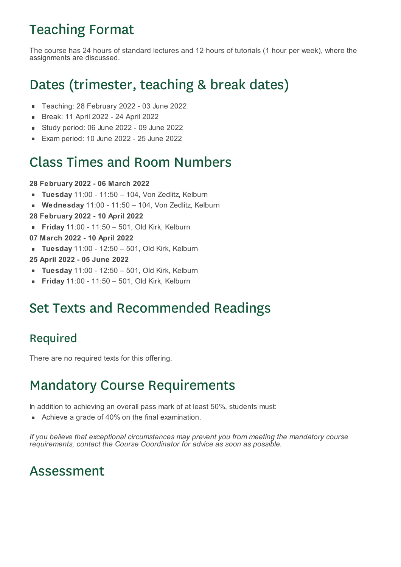# Teaching Format

The course has 24 hours of standard lectures and 12 hours of tutorials (1 hour per week), where the assignments are discussed.

# Dates (trimester, teaching & break dates)

- $\blacksquare$ Teaching: 28 February 2022 - 03 June 2022
- Break: 11 April 2022 24 April 2022  $\blacksquare$
- Study period: 06 June 2022 09 June 2022  $\blacksquare$
- Exam period: 10 June 2022 25 June 2022

## Class Times and Room Numbers

#### **28 February 2022 - 06 March 2022**

- **Tuesday** 11:00 11:50 104, Von Zedlitz, Kelburn
- **Wednesday** 11:00 11:50 104, Von Zedlitz, Kelburn  $\blacksquare$
- **28 February 2022 - 10 April 2022**
- **Friday** 11:00 11:50 501, Old Kirk, Kelburn
- **07 March 2022 - 10 April 2022**
- **Tuesday** 11:00 12:50 501, Old Kirk, Kelburn
- **25 April 2022 - 05 June 2022**
- **Tuesday** 11:00 12:50 501, Old Kirk, Kelburn
- **Friday** 11:00 11:50 501, Old Kirk, Kelburn

## Set Texts and Recommended Readings

### Required

There are no required texts for this offering.

## Mandatory Course Requirements

In addition to achieving an overall pass mark of at least 50%, students must:

Achieve a grade of 40% on the final examination.

*If you believe that exceptional circumstances may prevent you from meeting the mandatory course requirements, contact the Course Coordinator for advice as soon as possible.*

## Assessment